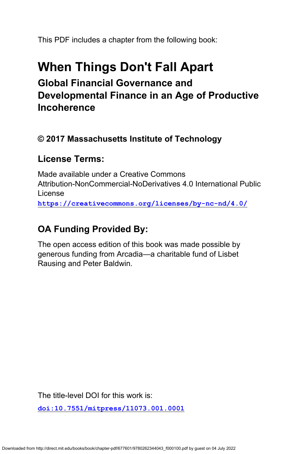This PDF includes a chapter from the following book:

# **When Things Don't Fall Apart Global Financial Governance and Developmental Finance in an Age of Productive Incoherence**

#### **© 2017 Massachusetts Institute of Technology**

### **License Terms:**

Made available under a Creative Commons Attribution-NonCommercial-NoDerivatives 4.0 International Public License **<https://creativecommons.org/licenses/by-nc-nd/4.0/>**

## **OA Funding Provided By:**

The open access edition of this book was made possible by generous funding from Arcadia—a charitable fund of Lisbet Rausing and Peter Baldwin.

The title-level DOI for this work is:

**[doi:10.7551/mitpress/11073.001.0001](https://doi.org/10.7551/mitpress/11073.001.0001)**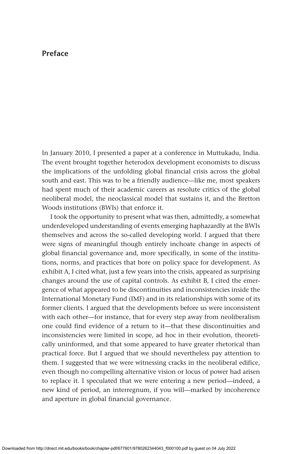#### **Preface**

In January 2010, I presented a paper at a conference in Muttukadu, India. The event brought together heterodox development economists to discuss the implications of the unfolding global financial crisis across the global south and east. This was to be a friendly audience—like me, most speakers had spent much of their academic careers as resolute critics of the global neoliberal model, the neoclassical model that sustains it, and the Bretton Woods institutions (BWIs) that enforce it.

I took the opportunity to present what was then, admittedly, a somewhat underdeveloped understanding of events emerging haphazardly at the BWIs themselves and across the so-called developing world. I argued that there were signs of meaningful though entirely inchoate change in aspects of global financial governance and, more specifically, in some of the institutions, norms, and practices that bore on policy space for development. As exhibit A, I cited what, just a few years into the crisis, appeared as surprising changes around the use of capital controls. As exhibit B, I cited the emergence of what appeared to be discontinuities and inconsistencies inside the International Monetary Fund (IMF) and in its relationships with some of its former clients. I argued that the developments before us were inconsistent with each other—for instance, that for every step away from neoliberalism one could find evidence of a return to it—that these discontinuities and inconsistencies were limited in scope, ad hoc in their evolution, theoretically uninformed, and that some appeared to have greater rhetorical than practical force. But I argued that we should nevertheless pay attention to them. I suggested that we were witnessing cracks in the neoliberal edifice, even though no compelling alternative vision or locus of power had arisen to replace it. I speculated that we were entering a new period—indeed, a new kind of period, an interregnum, if you will—marked by incoherence and aperture in global financial governance.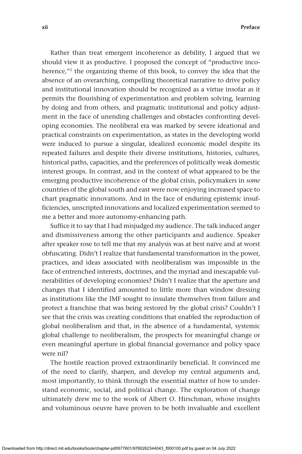Rather than treat emergent incoherence as debility, I argued that we should view it as productive. I proposed the concept of "productive incoherence,"<sup>1</sup> the organizing theme of this book, to convey the idea that the absence of an overarching, compelling theoretical narrative to drive policy and institutional innovation should be recognized as a virtue insofar as it permits the flourishing of experimentation and problem solving, learning by doing and from others, and pragmatic institutional and policy adjustment in the face of unending challenges and obstacles confronting developing economies. The neoliberal era was marked by severe ideational and practical constraints on experimentation, as states in the developing world were induced to pursue a singular, idealized economic model despite its repeated failures and despite their diverse institutions, histories, cultures, historical paths, capacities, and the preferences of politically weak domestic interest groups. In contrast, and in the context of what appeared to be the emerging productive incoherence of the global crisis, policymakers in *some* countries of the global south and east were now enjoying increased space to chart pragmatic innovations. And in the face of enduring epistemic insufficiencies, unscripted innovations and localized experimentation seemed to me a better and more autonomy-enhancing path.

Suffice it to say that I had misjudged my audience. The talk induced anger and dismissiveness among the other participants and audience. Speaker after speaker rose to tell me that my analysis was at best naïve and at worst obfuscating. Didn't I realize that fundamental transformation in the power, practices, and ideas associated with neoliberalism was impossible in the face of entrenched interests, doctrines, and the myriad and inescapable vulnerabilities of developing economies? Didn't I realize that the aperture and changes that I identified amounted to little more than window dressing as institutions like the IMF sought to insulate themselves from failure and protect a franchise that was being restored by the global crisis? Couldn't I see that the crisis was creating conditions that enabled the reproduction of global neoliberalism and that, in the absence of a fundamental, systemic global challenge to neoliberalism, the prospects for meaningful change or even meaningful aperture in global financial governance and policy space were nil?

The hostile reaction proved extraordinarily beneficial. It convinced me of the need to clarify, sharpen, and develop my central arguments and, most importantly, to think through the essential matter of how to understand economic, social, and political change. The exploration of change ultimately drew me to the work of Albert O. Hirschman, whose insights and voluminous oeuvre have proven to be both invaluable and excellent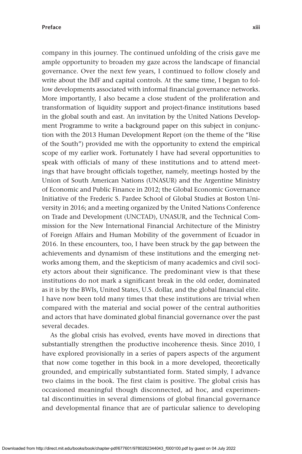**Preface xiii**

company in this journey. The continued unfolding of the crisis gave me ample opportunity to broaden my gaze across the landscape of financial governance. Over the next few years, I continued to follow closely and write about the IMF and capital controls. At the same time, I began to follow developments associated with informal financial governance networks. More importantly, I also became a close student of the proliferation and transformation of liquidity support and project-finance institutions based in the global south and east. An invitation by the United Nations Development Programme to write a background paper on this subject in conjunction with the 2013 Human Development Report (on the theme of the "Rise of the South") provided me with the opportunity to extend the empirical scope of my earlier work. Fortunately I have had several opportunities to speak with officials of many of these institutions and to attend meetings that have brought officials together, namely, meetings hosted by the Union of South American Nations (UNASUR) and the Argentine Ministry of Economic and Public Finance in 2012; the Global Economic Governance Initiative of the Frederic S. Pardee School of Global Studies at Boston University in 2016; and a meeting organized by the United Nations Conference on Trade and Development (UNCTAD), UNASUR, and the Technical Commission for the New International Financial Architecture of the Ministry of Foreign Affairs and Human Mobility of the government of Ecuador in 2016. In these encounters, too, I have been struck by the gap between the achievements and dynamism of these institutions and the emerging networks among them, and the skepticism of many academics and civil society actors about their significance. The predominant view is that these institutions do not mark a significant break in the old order, dominated as it is by the BWIs, United States, U.S. dollar, and the global financial elite. I have now been told many times that these institutions are trivial when compared with the material and social power of the central authorities and actors that have dominated global financial governance over the past several decades.

As the global crisis has evolved, events have moved in directions that substantially strengthen the productive incoherence thesis. Since 2010, I have explored provisionally in a series of papers aspects of the argument that now come together in this book in a more developed, theoretically grounded, and empirically substantiated form. Stated simply, I advance two claims in the book. The first claim is positive. The global crisis has occasioned meaningful though disconnected, ad hoc, and experimental discontinuities in several dimensions of global financial governance and developmental finance that are of particular salience to developing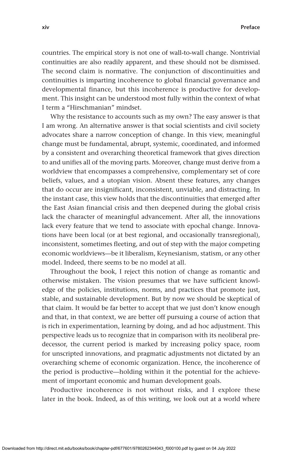countries. The empirical story is not one of wall-to-wall change. Nontrivial continuities are also readily apparent, and these should not be dismissed. The second claim is normative. The conjunction of discontinuities and continuities is imparting incoherence to global financial governance and developmental finance, but this incoherence is productive for development. This insight can be understood most fully within the context of what I term a "Hirschmanian" mindset.

Why the resistance to accounts such as my own? The easy answer is that I am wrong. An alternative answer is that social scientists and civil society advocates share a narrow conception of change. In this view, meaningful change must be fundamental, abrupt, systemic, coordinated, and informed by a consistent and overarching theoretical framework that gives direction to and unifies all of the moving parts. Moreover, change must derive from a worldview that encompasses a comprehensive, complementary set of core beliefs, values, and a utopian vision. Absent these features, any changes that do occur are insignificant, inconsistent, unviable, and distracting. In the instant case, this view holds that the discontinuities that emerged after the East Asian financial crisis and then deepened during the global crisis lack the character of meaningful advancement. After all, the innovations lack every feature that we tend to associate with epochal change. Innovations have been local (or at best regional, and occasionally transregional), inconsistent, sometimes fleeting, and out of step with the major competing economic worldviews—be it liberalism, Keynesianism, statism, or any other model. Indeed, there seems to be no model at all.

Throughout the book, I reject this notion of change as romantic and otherwise mistaken. The vision presumes that we have sufficient knowledge of the policies, institutions, norms, and practices that promote just, stable, and sustainable development. But by now we should be skeptical of that claim. It would be far better to accept that we just don't know enough and that, in that context, we are better off pursuing a course of action that is rich in experimentation, learning by doing, and ad hoc adjustment. This perspective leads us to recognize that in comparison with its neoliberal predecessor, the current period is marked by increasing policy space, room for unscripted innovations, and pragmatic adjustments not dictated by an overarching scheme of economic organization. Hence, the incoherence of the period is productive—holding within it the potential for the achievement of important economic and human development goals.

Productive incoherence is not without risks, and I explore these later in the book. Indeed, as of this writing, we look out at a world where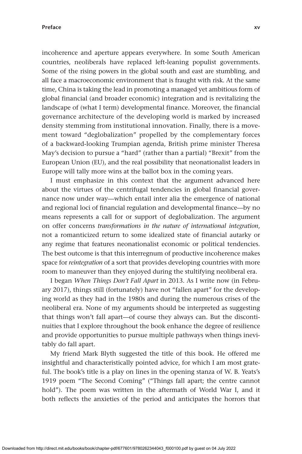incoherence and aperture appears everywhere. In some South American countries, neoliberals have replaced left-leaning populist governments. Some of the rising powers in the global south and east are stumbling, and all face a macroeconomic environment that is fraught with risk. At the same time, China is taking the lead in promoting a managed yet ambitious form of global financial (and broader economic) integration and is revitalizing the landscape of (what I term) developmental finance. Moreover, the financial governance architecture of the developing world is marked by increased density stemming from institutional innovation. Finally, there is a movement toward "deglobalization" propelled by the complementary forces of a backward-looking Trumpian agenda, British prime minister Theresa May's decision to pursue a "hard" (rather than a partial) "Brexit" from the European Union (EU), and the real possibility that neonationalist leaders in Europe will tally more wins at the ballot box in the coming years.

I must emphasize in this context that the argument advanced here about the virtues of the centrifugal tendencies in global financial governance now under way—which entail inter alia the emergence of national and regional loci of financial regulation and developmental finance—by no means represents a call for or support of deglobalization. The argument on offer concerns *transformations in the nature of international integration*, not a romanticized return to some idealized state of financial autarky or any regime that features neonationalist economic or political tendencies. The best outcome is that this interregnum of productive incoherence makes space for *reintegration* of a sort that provides developing countries with more room to maneuver than they enjoyed during the stultifying neoliberal era.

I began *When Things Don't Fall Apart* in 2013. As I write now (in February 2017), things still (fortunately) have not "fallen apart" for the developing world as they had in the 1980s and during the numerous crises of the neoliberal era. None of my arguments should be interpreted as suggesting that things won't fall apart—of course they always can. But the discontinuities that I explore throughout the book enhance the degree of resilience and provide opportunities to pursue multiple pathways when things inevitably do fall apart.

My friend Mark Blyth suggested the title of this book. He offered me insightful and characteristically pointed advice, for which I am most grateful. The book's title is a play on lines in the opening stanza of W. B. Yeats's 1919 poem "The Second Coming" ("Things fall apart; the centre cannot hold"). The poem was written in the aftermath of World War I, and it both reflects the anxieties of the period and anticipates the horrors that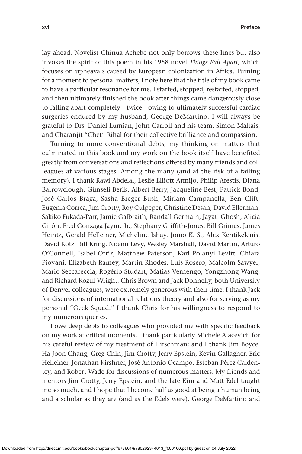lay ahead. Novelist Chinua Achebe not only borrows these lines but also invokes the spirit of this poem in his 1958 novel *Things Fall Apart*, which focuses on upheavals caused by European colonization in Africa. Turning for a moment to personal matters, I note here that the title of my book came to have a particular resonance for me. I started, stopped, restarted, stopped, and then ultimately finished the book after things came dangerously close to falling apart completely—twice—owing to ultimately successful cardiac surgeries endured by my husband, George DeMartino. I will always be grateful to Drs. Daniel Lumian, John Carroll and his team, Simon Maltais, and Charanjit "Chet" Rihal for their collective brilliance and compassion.

Turning to more conventional debts, my thinking on matters that culminated in this book and my work on the book itself have benefited greatly from conversations and reflections offered by many friends and colleagues at various stages. Among the many (and at the risk of a failing memory), I thank Rawi Abdelal, Leslie Elliott Armijo, Philip Arestis, Diana Barrowclough, Günseli Berik, Albert Berry, Jacqueline Best, Patrick Bond, José Carlos Braga, Sasha Breger Bush, Miriam Campanella, Ben Clift, Eugenia Correa, Jim Crotty, Roy Culpeper, Christine Desan, David Ellerman, Sakiko Fukada-Parr, Jamie Galbraith, Randall Germain, Jayati Ghosh, Alicia Girón, Fred Gonzaga Jayme Jr., Stephany Griffith-Jones, Bill Grimes, James Heintz, Gerald Helleiner, Micheline Ishay, Jomo K. S., Alex Kentikelenis, David Kotz, Bill Kring, Noemi Levy, Wesley Marshall, David Martin, Arturo O'Connell, Isabel Ortiz, Matthew Paterson, Kari Polanyi Levitt, Chiara Piovani, Elizabeth Ramey, Martin Rhodes, Luis Rosero, Malcolm Sawyer, Mario Seccareccia, Rogério Studart, Matias Vernengo, Yongzhong Wang, and Richard Kozul-Wright. Chris Brown and Jack Donnelly, both University of Denver colleagues, were extremely generous with their time. I thank Jack for discussions of international relations theory and also for serving as my personal "Geek Squad." I thank Chris for his willingness to respond to my numerous queries.

I owe deep debts to colleagues who provided me with specific feedback on my work at critical moments. I thank particularly Michele Alacevich for his careful review of my treatment of Hirschman; and I thank Jim Boyce, Ha-Joon Chang, Greg Chin, Jim Crotty, Jerry Epstein, Kevin Gallagher, Eric Helleiner, Jonathan Kirshner, José Antonio Ocampo, Esteban Pérez Caldentey, and Robert Wade for discussions of numerous matters. My friends and mentors Jim Crotty, Jerry Epstein, and the late Kim and Matt Edel taught me so much, and I hope that I become half as good at being a human being and a scholar as they are (and as the Edels were). George DeMartino and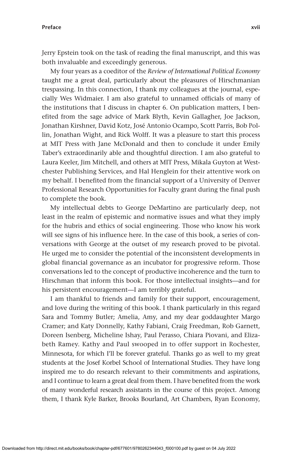Jerry Epstein took on the task of reading the final manuscript, and this was both invaluable and exceedingly generous.

My four years as a coeditor of the *Review of International Political Economy* taught me a great deal, particularly about the pleasures of Hirschmanian trespassing. In this connection, I thank my colleagues at the journal, especially Wes Widmaier. I am also grateful to unnamed officials of many of the institutions that I discuss in chapter 6. On publication matters, I benefited from the sage advice of Mark Blyth, Kevin Gallagher, Joe Jackson, Jonathan Kirshner, David Kotz, José Antonio Ocampo, Scott Parris, Bob Pollin, Jonathan Wight, and Rick Wolff. It was a pleasure to start this process at MIT Press with Jane McDonald and then to conclude it under Emily Taber's extraordinarily able and thoughtful direction. I am also grateful to Laura Keeler, Jim Mitchell, and others at MIT Press, Mikala Guyton at Westchester Publishing Services, and Hal Henglein for their attentive work on my behalf. I benefited from the financial support of a University of Denver Professional Research Opportunities for Faculty grant during the final push to complete the book.

My intellectual debts to George DeMartino are particularly deep, not least in the realm of epistemic and normative issues and what they imply for the hubris and ethics of social engineering. Those who know his work will see signs of his influence here. In the case of this book, a series of conversations with George at the outset of my research proved to be pivotal. He urged me to consider the potential of the inconsistent developments in global financial governance as an incubator for progressive reform. Those conversations led to the concept of productive incoherence and the turn to Hirschman that inform this book. For those intellectual insights—and for his persistent encouragement—I am terribly grateful.

I am thankful to friends and family for their support, encouragement, and love during the writing of this book. I thank particularly in this regard Sara and Tommy Butler; Amelia, Amy, and my dear goddaughter Margo Cramer; and Katy Donnelly, Kathy Fabiani, Craig Freedman, Rob Garnett, Doreen Isenberg, Micheline Ishay, Paul Perasso, Chiara Piovani, and Elizabeth Ramey. Kathy and Paul swooped in to offer support in Rochester, Minnesota, for which I'll be forever grateful. Thanks go as well to my great students at the Josef Korbel School of International Studies. They have long inspired me to do research relevant to their commitments and aspirations, and I continue to learn a great deal from them. I have benefited from the work of many wonderful research assistants in the course of this project. Among them, I thank Kyle Barker, Brooks Bourland, Art Chambers, Ryan Economy,